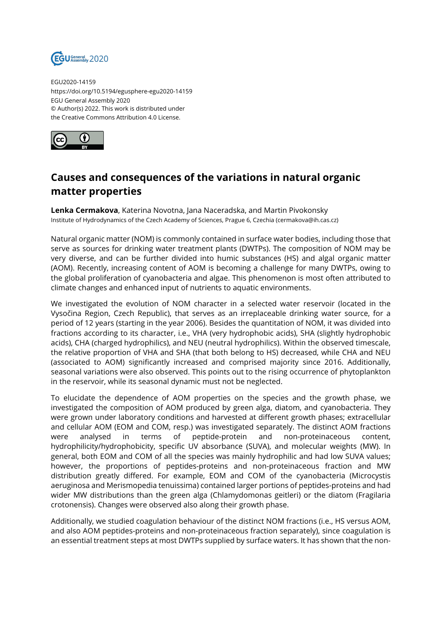

EGU2020-14159 https://doi.org/10.5194/egusphere-egu2020-14159 EGU General Assembly 2020 © Author(s) 2022. This work is distributed under the Creative Commons Attribution 4.0 License.



## **Causes and consequences of the variations in natural organic matter properties**

**Lenka Cermakova**, Katerina Novotna, Jana Naceradska, and Martin Pivokonsky Institute of Hydrodynamics of the Czech Academy of Sciences, Prague 6, Czechia (cermakova@ih.cas.cz)

Natural organic matter (NOM) is commonly contained in surface water bodies, including those that serve as sources for drinking water treatment plants (DWTPs). The composition of NOM may be very diverse, and can be further divided into humic substances (HS) and algal organic matter (AOM). Recently, increasing content of AOM is becoming a challenge for many DWTPs, owing to the global proliferation of cyanobacteria and algae. This phenomenon is most often attributed to climate changes and enhanced input of nutrients to aquatic environments.

We investigated the evolution of NOM character in a selected water reservoir (located in the Vysočina Region, Czech Republic), that serves as an irreplaceable drinking water source, for a period of 12 years (starting in the year 2006). Besides the quantitation of NOM, it was divided into fractions according to its character, i.e., VHA (very hydrophobic acids), SHA (slightly hydrophobic acids), CHA (charged hydrophilics), and NEU (neutral hydrophilics). Within the observed timescale, the relative proportion of VHA and SHA (that both belong to HS) decreased, while CHA and NEU (associated to AOM) significantly increased and comprised majority since 2016. Additionally, seasonal variations were also observed. This points out to the rising occurrence of phytoplankton in the reservoir, while its seasonal dynamic must not be neglected.

To elucidate the dependence of AOM properties on the species and the growth phase, we investigated the composition of AOM produced by green alga, diatom, and cyanobacteria. They were grown under laboratory conditions and harvested at different growth phases; extracellular and cellular AOM (EOM and COM, resp.) was investigated separately. The distinct AOM fractions were analysed in terms of peptide-protein and non-proteinaceous content, hydrophilicity/hydrophobicity, specific UV absorbance (SUVA), and molecular weights (MW). In general, both EOM and COM of all the species was mainly hydrophilic and had low SUVA values; however, the proportions of peptides-proteins and non-proteinaceous fraction and MW distribution greatly differed. For example, EOM and COM of the cyanobacteria (Microcystis aeruginosa and Merismopedia tenuissima) contained larger portions of peptides-proteins and had wider MW distributions than the green alga (Chlamydomonas geitleri) or the diatom (Fragilaria crotonensis). Changes were observed also along their growth phase.

Additionally, we studied coagulation behaviour of the distinct NOM fractions (i.e., HS versus AOM, and also AOM peptides-proteins and non-proteinaceous fraction separately), since coagulation is an essential treatment steps at most DWTPs supplied by surface waters. It has shown that the non